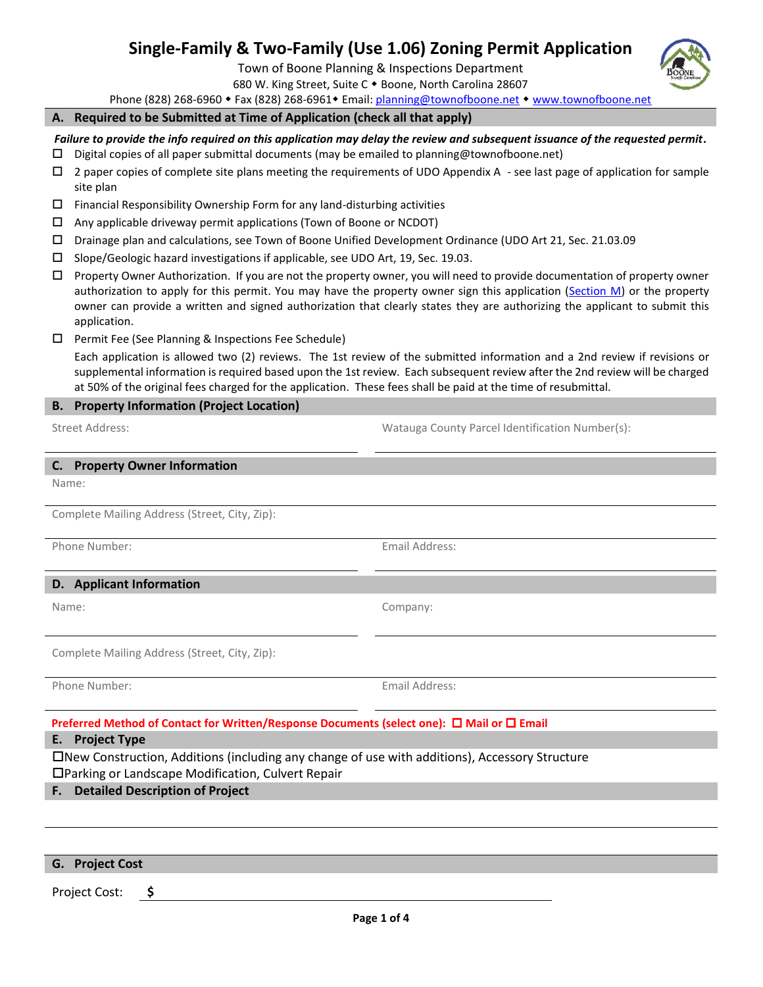# **Single-Family & Two-Family (Use 1.06) Zoning Permit Application**

Town of Boone Planning & Inspections Department

680 W. King Street, Suite C • Boone, North Carolina 28607

Phone (828) 268-6960 • Fax (828) 268-6961 • Email: [planning@townofboone.net](mailto:planning@townofboone.net) • [www.townofboone.net](http://www.townofboone.net/)

#### **A. Required to be Submitted at Time of Application (check all that apply)**

*Failure to provide the info required on this application may delay the review and subsequent issuance of the requested permit.*

- $\square$  Digital copies of all paper submittal documents (may be emailed to planning@townofboone.net)
- $\Box$  2 paper copies of complete site plans meeting the requirements of UDO Appendix A see last page of application for sample site plan
- $\square$  Financial Responsibility Ownership Form for any land-disturbing activities
- $\Box$  Any applicable driveway permit applications (Town of Boone or NCDOT)
- Drainage plan and calculations, see Town of Boone Unified Development Ordinance (UDO Art 21, Sec. 21.03.09
- $\square$  Slope/Geologic hazard investigations if applicable, see UDO Art, 19, Sec. 19.03.
- $\Box$  Property Owner Authorization. If you are not the property owner, you will need to provide documentation of property owner authorization to apply for this permit. You may have the property owner sign this application [\(Section M\)](#page-2-0) or the property owner can provide a written and signed authorization that clearly states they are authorizing the applicant to submit this application.
- $\Box$  Permit Fee (See Planning & Inspections Fee Schedule)

Each application is allowed two (2) reviews. The 1st review of the submitted information and a 2nd review if revisions or supplemental information is required based upon the 1st review. Each subsequent review after the 2nd review will be charged at 50% of the original fees charged for the application. These fees shall be paid at the time of resubmittal.

### **B. Property Information (Project Location)**

Street Address: Watauga County Parcel Identification Number(s):

| C. Property Owner Information                                                                                                                        |                |  |  |  |  |
|------------------------------------------------------------------------------------------------------------------------------------------------------|----------------|--|--|--|--|
| Name:                                                                                                                                                |                |  |  |  |  |
| Complete Mailing Address (Street, City, Zip):                                                                                                        |                |  |  |  |  |
| Phone Number:                                                                                                                                        | Email Address: |  |  |  |  |
| D. Applicant Information                                                                                                                             |                |  |  |  |  |
| Name:                                                                                                                                                | Company:       |  |  |  |  |
| Complete Mailing Address (Street, City, Zip):                                                                                                        |                |  |  |  |  |
| Phone Number:                                                                                                                                        | Email Address: |  |  |  |  |
| Preferred Method of Contact for Written/Response Documents (select one): □ Mail or □ Email                                                           |                |  |  |  |  |
| E. Project Type                                                                                                                                      |                |  |  |  |  |
| □New Construction, Additions (including any change of use with additions), Accessory Structure<br>□Parking or Landscape Modification, Culvert Repair |                |  |  |  |  |
| <b>Detailed Description of Project</b><br>F.                                                                                                         |                |  |  |  |  |
|                                                                                                                                                      |                |  |  |  |  |

| G. Project Cost |  |  |  |  |
|-----------------|--|--|--|--|
| Project Cost:   |  |  |  |  |

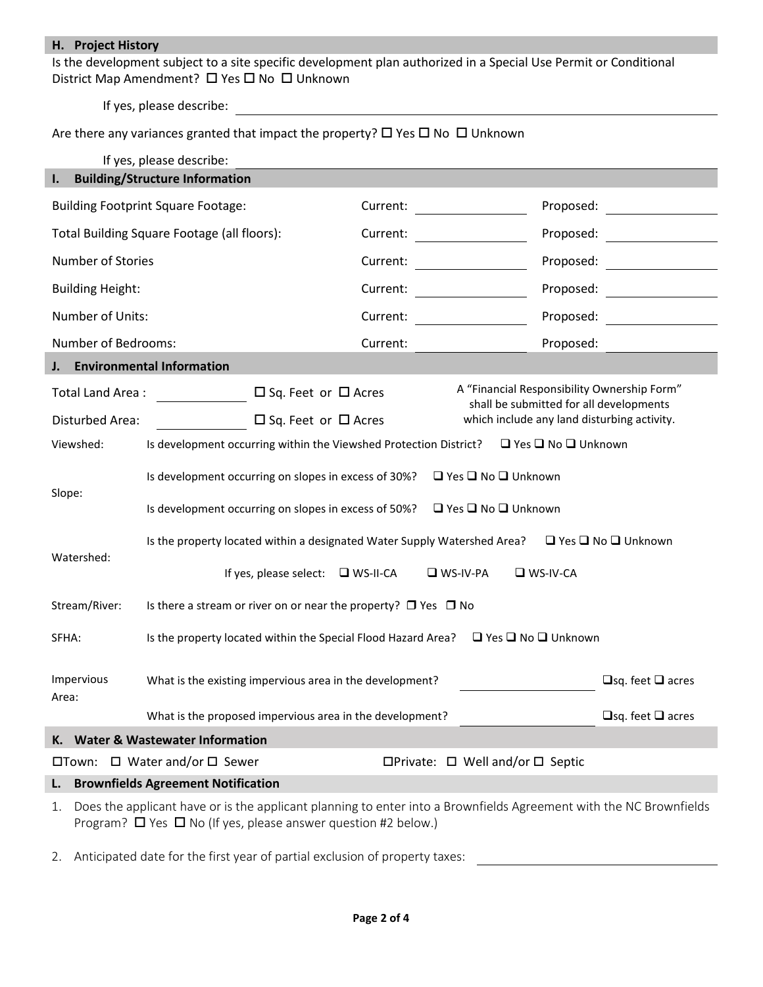## **H. Project History**

Is the development subject to a site specific development plan authorized in a Special Use Permit or Conditional District Map Amendment?  $\Box$  Yes  $\Box$  No  $\Box$  Unknown

If yes, please describe:

## Are there any variances granted that impact the property?  $\Box$  Yes  $\Box$  No  $\Box$  Unknown

|                                                                                                               | If yes, please describe:                                                                                           |                              |                                                                                        |                                             |  |  |
|---------------------------------------------------------------------------------------------------------------|--------------------------------------------------------------------------------------------------------------------|------------------------------|----------------------------------------------------------------------------------------|---------------------------------------------|--|--|
| ı.                                                                                                            | <b>Building/Structure Information</b>                                                                              |                              |                                                                                        |                                             |  |  |
| <b>Building Footprint Square Footage:</b>                                                                     |                                                                                                                    | Current:                     |                                                                                        | Proposed:                                   |  |  |
|                                                                                                               | Total Building Square Footage (all floors):                                                                        | Current:                     |                                                                                        | Proposed:                                   |  |  |
| Number of Stories                                                                                             |                                                                                                                    | Current:                     |                                                                                        | Proposed:                                   |  |  |
| <b>Building Height:</b>                                                                                       |                                                                                                                    | Current:                     |                                                                                        | Proposed:                                   |  |  |
| Number of Units:                                                                                              |                                                                                                                    | Current:                     |                                                                                        | Proposed:                                   |  |  |
| Number of Bedrooms:                                                                                           |                                                                                                                    | Current:                     |                                                                                        | Proposed:                                   |  |  |
| J.                                                                                                            | <b>Environmental Information</b>                                                                                   |                              |                                                                                        |                                             |  |  |
| Total Land Area:                                                                                              | $\Box$ Sq. Feet or $\Box$ Acres                                                                                    |                              | A "Financial Responsibility Ownership Form"<br>shall be submitted for all developments |                                             |  |  |
| <b>Disturbed Area:</b>                                                                                        | $\Box$ Sq. Feet or $\Box$ Acres                                                                                    |                              |                                                                                        | which include any land disturbing activity. |  |  |
| Viewshed:                                                                                                     | Is development occurring within the Viewshed Protection District?                                                  |                              |                                                                                        | □ Yes □ No □ Unknown                        |  |  |
| Slope:                                                                                                        | $\Box$ Yes $\Box$ No $\Box$ Unknown<br>Is development occurring on slopes in excess of 30%?                        |                              |                                                                                        |                                             |  |  |
|                                                                                                               | Is development occurring on slopes in excess of 50%?<br>$\Box$ Yes $\Box$ No $\Box$ Unknown                        |                              |                                                                                        |                                             |  |  |
| Watershed:                                                                                                    | $\Box$ Yes $\Box$ No $\Box$ Unknown<br>Is the property located within a designated Water Supply Watershed Area?    |                              |                                                                                        |                                             |  |  |
|                                                                                                               | If yes, please select: $\Box$ WS-II-CA<br>$\n  W - W - P$<br>$\n  W - W - CA\n$                                    |                              |                                                                                        |                                             |  |  |
| Stream/River:<br>Is there a stream or river on or near the property? $\Box$ Yes $\Box$ No                     |                                                                                                                    |                              |                                                                                        |                                             |  |  |
| Is the property located within the Special Flood Hazard Area?<br>$\Box$ Yes $\Box$ No $\Box$ Unknown<br>SFHA: |                                                                                                                    |                              |                                                                                        |                                             |  |  |
| Impervious                                                                                                    | What is the existing impervious area in the development?                                                           | $\Box$ sq. feet $\Box$ acres |                                                                                        |                                             |  |  |
| Area:                                                                                                         |                                                                                                                    |                              |                                                                                        |                                             |  |  |
|                                                                                                               | What is the proposed impervious area in the development?                                                           |                              |                                                                                        | $\Box$ sq. feet $\Box$ acres                |  |  |
|                                                                                                               | K. Water & Wastewater Information                                                                                  |                              |                                                                                        |                                             |  |  |
|                                                                                                               | $\Box$ Town: $\Box$ Water and/or $\Box$ Sewer                                                                      |                              | $\Box$ Private: $\Box$ Well and/or $\Box$ Septic                                       |                                             |  |  |
| <b>Brownfields Agreement Notification</b><br>L.                                                               |                                                                                                                    |                              |                                                                                        |                                             |  |  |
| 1.                                                                                                            | Does the applicant have or is the applicant planning to enter into a Brownfields Agreement with the NC Brownfields |                              |                                                                                        |                                             |  |  |

2. Anticipated date for the first year of partial exclusion of property taxes:

Program?  $\Box$  Yes  $\Box$  No (If yes, please answer question #2 below.)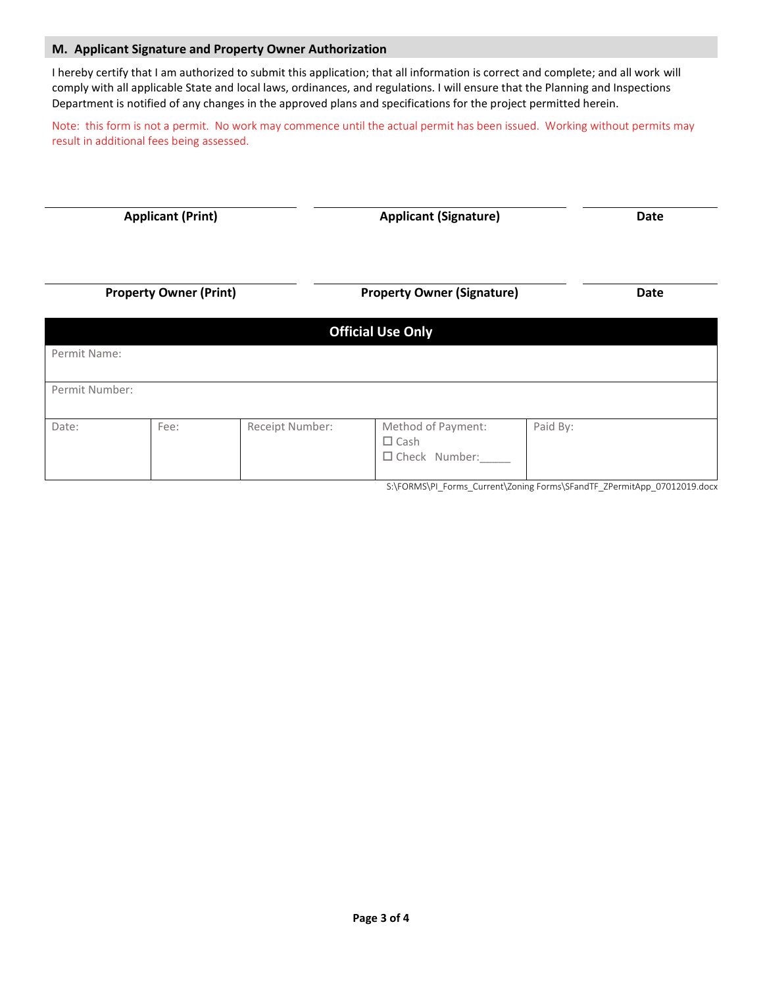#### <span id="page-2-0"></span>**M. Applicant Signature and Property Owner Authorization**

I hereby certify that I am authorized to submit this application; that all information is correct and complete; and all work will comply with all applicable State and local laws, ordinances, and regulations. I will ensure that the Planning and Inspections Department is notified of any changes in the approved plans and specifications for the project permitted herein.

Note: this form is not a permit. No work may commence until the actual permit has been issued. Working without permits may result in additional fees being assessed.

| <b>Applicant (Print)</b>      |      |                 | <b>Applicant (Signature)</b>                                 |          | <b>Date</b> |  |
|-------------------------------|------|-----------------|--------------------------------------------------------------|----------|-------------|--|
| <b>Property Owner (Print)</b> |      |                 | <b>Property Owner (Signature)</b>                            |          | Date        |  |
|                               |      |                 | <b>Official Use Only</b>                                     |          |             |  |
| Permit Name:                  |      |                 |                                                              |          |             |  |
| Permit Number:                |      |                 |                                                              |          |             |  |
| Date:                         | Fee: | Receipt Number: | Method of Payment:<br>$\square$ Cash<br>$\Box$ Check Number: | Paid By: |             |  |

**Page 3 of 4**